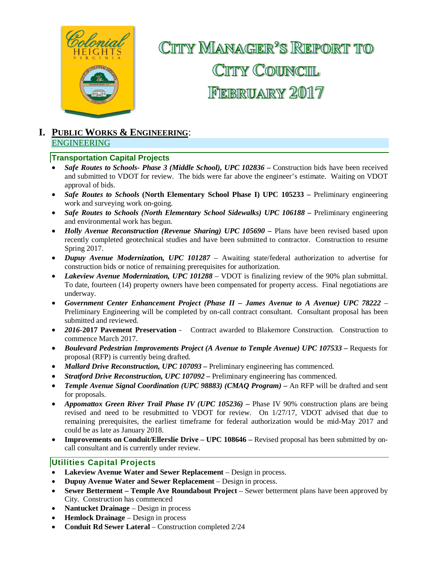

# CITTY MANAGER<sup>2</sup>S REPORT TO CITTY COUNCIL FEBRUARY 2017

#### **I. PUBLIC WORKS & ENGINEERING**: ENGINEERING

#### **Transportation Capital Projects**

- *Safe Routes to Schools- Phase 3 (Middle School), UPC 102836* **–** Construction bids have been received and submitted to VDOT for review. The bids were far above the engineer's estimate. Waiting on VDOT approval of bids.
- *Safe Routes to Schools* (North Elementary School Phase I) UPC 105233 Preliminary engineering work and surveying work on-going.
- *Safe Routes to Schools (North Elementary School Sidewalks) UPC 106188 –* Preliminary engineering and environmental work has begun.
- *Holly Avenue Reconstruction (Revenue Sharing) UPC 105690* Plans have been revised based upon recently completed geotechnical studies and have been submitted to contractor. Construction to resume Spring 2017.
- *Dupuy Avenue Modernization, UPC 101287*  Awaiting state/federal authorization to advertise for construction bids or notice of remaining prerequisites for authorization.
- *Lakeview Avenue Modernization, UPC 101288* VDOT is finalizing review of the 90% plan submittal. To date, fourteen (14) property owners have been compensated for property access. Final negotiations are underway.
- *Government Center Enhancement Project (Phase II – James Avenue to A Avenue) UPC 78222 –* Preliminary Engineering will be completed by on-call contract consultant. Consultant proposal has been submitted and reviewed.
- *2016-***2017 Pavement Preservation** Contract awarded to Blakemore Construction. Construction to commence March 2017.
- *Boulevard Pedestrian Improvements Project (A Avenue to Temple Avenue) UPC 107533 –* Requests for proposal (RFP) is currently being drafted.
- *Mallard Drive Reconstruction, UPC 107093* Preliminary engineering has commenced.
- *Stratford Drive Reconstruction, UPC 107092 –* Preliminary engineering has commenced.
- *Temple Avenue Signal Coordination (UPC 98883) (CMAQ Program) –* An RFP will be drafted and sent for proposals.
- *Appomattox Green River Trail Phase IV (UPC 105236) –* Phase IV 90% construction plans are being revised and need to be resubmitted to VDOT for review. On 1/27/17, VDOT advised that due to remaining prerequisites, the earliest timeframe for federal authorization would be mid-May 2017 and could be as late as January 2018.
- **Improvements on Conduit/Ellerslie Drive – UPC 108646 –** Revised proposal has been submitted by oncall consultant and is currently under review.

#### **Utilities Capital Projects**

- Lakeview Avenue Water and Sewer Replacement Design in process.
- **Dupuy Avenue Water and Sewer Replacement** Design in process.
- **Sewer Betterment Temple Ave Roundabout Project Sewer betterment plans have been approved by** City. Construction has commenced
- **Nantucket Drainage** Design in process
- **Hemlock Drainage**  Design in process
- **Conduit Rd Sewer Lateral**  Construction completed 2/24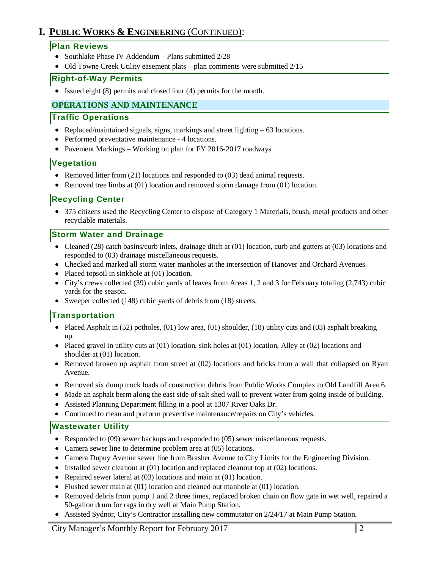# **I. PUBLIC WORKS & ENGINEERING** (CONTINUED):

#### **Plan Reviews**

- Southlake Phase IV Addendum Plans submitted 2/28
- Old Towne Creek Utility easement plats plan comments were submitted 2/15

#### **Right-of-Way Permits**

• Issued eight (8) permits and closed four (4) permits for the month.

#### **OPERATIONS AND MAINTENANCE**

#### **Traffic Operations**

- Replaced/maintained signals, signs, markings and street lighting 63 locations.
- Performed preventative maintenance 4 locations.
- Pavement Markings Working on plan for FY 2016-2017 roadways

#### **Vegetation**

- Removed litter from (21) locations and responded to (03) dead animal requests.
- Removed tree limbs at (01) location and removed storm damage from (01) location.

#### **Recycling Center**

• 375 citizens used the Recycling Center to dispose of Category 1 Materials, brush, metal products and other recyclable materials.

#### **Storm Water and Drainage**

- Cleaned (28) catch basins/curb inlets, drainage ditch at (01) location, curb and gutters at (03) locations and responded to (03) drainage miscellaneous requests.
- Checked and marked all storm water manholes at the intersection of Hanover and Orchard Avenues.
- Placed topsoil in sinkhole at (01) location.
- City's crews collected (39) cubic yards of leaves from Areas 1, 2 and 3 for February totaling (2,743) cubic yards for the season.
- Sweeper collected (148) cubic yards of debris from (18) streets.

#### **Transportation**

- Placed Asphalt in (52) potholes, (01) low area, (01) shoulder, (18) utility cuts and (03) asphalt breaking up.
- Placed gravel in utility cuts at (01) location, sink holes at (01) location, Alley at (02) locations and shoulder at (01) location.
- Removed broken up asphalt from street at (02) locations and bricks from a wall that collapsed on Ryan Avenue.
- Removed six dump truck loads of construction debris from Public Works Complex to Old Landfill Area 6.
- Made an asphalt berm along the east side of salt shed wall to prevent water from going inside of building.
- Assisted Planning Department filling in a pool at 1307 River Oaks Dr.
- Continued to clean and preform preventive maintenance/repairs on City's vehicles.

#### **Wastewater Utility**

- Responded to (09) sewer backups and responded to (05) sewer miscellaneous requests.
- Camera sewer line to determine problem area at (05) locations.
- Camera Dupuy Avenue sewer line from Brasher Avenue to City Limits for the Engineering Division.
- Installed sewer cleanout at (01) location and replaced cleanout top at (02) locations.
- Repaired sewer lateral at (03) locations and main at (01) location.
- Flushed sewer main at (01) location and cleaned out manhole at (01) location.
- Removed debris from pump 1 and 2 three times, replaced broken chain on flow gate in wet well, repaired a 50-gallon drum for rags in dry well at Main Pump Station.
- Assisted Sydnor, City's Contractor installing new commutator on 2/24/17 at Main Pump Station.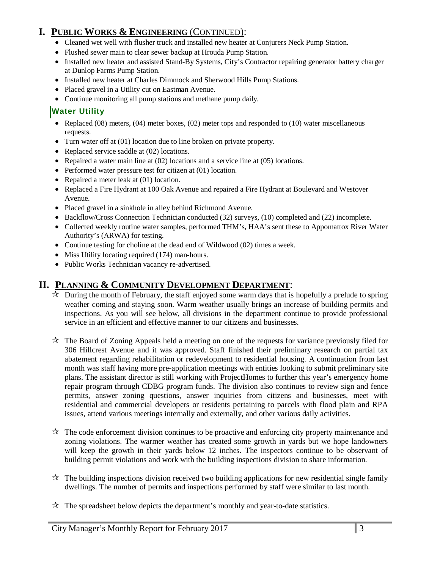# **I. PUBLIC WORKS & ENGINEERING** (CONTINUED):

- Cleaned wet well with flusher truck and installed new heater at Conjurers Neck Pump Station.
- Flushed sewer main to clear sewer backup at Hrouda Pump Station.
- Installed new heater and assisted Stand-By Systems, City's Contractor repairing generator battery charger at Dunlop Farms Pump Station.
- Installed new heater at Charles Dimmock and Sherwood Hills Pump Stations.
- Placed gravel in a Utility cut on Eastman Avenue.
- Continue monitoring all pump stations and methane pump daily*.*

### **Water Utility**

- Replaced (08) meters, (04) meter boxes, (02) meter tops and responded to (10) water miscellaneous requests.
- Turn water off at (01) location due to line broken on private property.
- Replaced service saddle at (02) locations.
- Repaired a water main line at (02) locations and a service line at (05) locations.
- Performed water pressure test for citizen at (01) location.
- Repaired a meter leak at (01) location.
- Replaced a Fire Hydrant at 100 Oak Avenue and repaired a Fire Hydrant at Boulevard and Westover Avenue.
- Placed gravel in a sinkhole in alley behind Richmond Avenue.
- Backflow/Cross Connection Technician conducted (32) surveys, (10) completed and (22) incomplete.
- Collected weekly routine water samples, performed THM's, HAA's sent these to Appomattox River Water Authority's (ARWA) for testing.
- Continue testing for choline at the dead end of Wildwood (02) times a week.
- Miss Utility locating required (174) man-hours.
- Public Works Technician vacancy re-advertised.

# **II. PLANNING & COMMUNITY DEVELOPMENT DEPARTMENT**:

- $\mathcal{R}$  During the month of February, the staff enjoyed some warm days that is hopefully a prelude to spring weather coming and staying soon. Warm weather usually brings an increase of building permits and inspections. As you will see below, all divisions in the department continue to provide professional service in an efficient and effective manner to our citizens and businesses.
- $\mathcal{R}$  The Board of Zoning Appeals held a meeting on one of the requests for variance previously filed for 306 Hillcrest Avenue and it was approved. Staff finished their preliminary research on partial tax abatement regarding rehabilitation or redevelopment to residential housing. A continuation from last month was staff having more pre-application meetings with entities looking to submit preliminary site plans. The assistant director is still working with ProjectHomes to further this year's emergency home repair program through CDBG program funds. The division also continues to review sign and fence permits, answer zoning questions, answer inquiries from citizens and businesses, meet with residential and commercial developers or residents pertaining to parcels with flood plain and RPA issues, attend various meetings internally and externally, and other various daily activities.
- $\mathcal{R}$  The code enforcement division continues to be proactive and enforcing city property maintenance and zoning violations. The warmer weather has created some growth in yards but we hope landowners will keep the growth in their yards below 12 inches. The inspectors continue to be observant of building permit violations and work with the building inspections division to share information.
- $\mathcal{R}$  The building inspections division received two building applications for new residential single family dwellings. The number of permits and inspections performed by staff were similar to last month.
- $\mathcal{R}$  The spreadsheet below depicts the department's monthly and year-to-date statistics.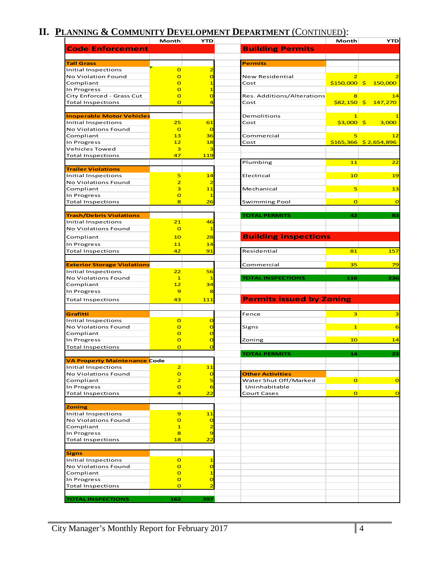# **II. PLANNING & COMMUNITY DEVELOPMENT DEPARTMENT** (CONTINUED):

|                                                         | Month                            | YTD                              |                                 | Month                       | <b>YTD</b>              |
|---------------------------------------------------------|----------------------------------|----------------------------------|---------------------------------|-----------------------------|-------------------------|
| <b>Code Enforcement</b>                                 |                                  |                                  | <b>Building Permits</b>         |                             |                         |
|                                                         |                                  |                                  |                                 |                             |                         |
| <b>Tall Grass</b>                                       |                                  |                                  | <b>Permits</b>                  |                             |                         |
| Initial Inspections                                     | $\overline{O}$                   | 2                                |                                 |                             |                         |
| No Violation Found                                      | $\overline{O}$                   | $\overline{O}$                   | New Residential                 |                             |                         |
| Compliant                                               | $\overline{O}$                   | 1                                | Cost                            |                             | $$150,000$ \$ 150,000   |
| In Progress                                             | $\overline{O}$                   |                                  |                                 |                             |                         |
| City Enforced - Grass Cut                               | $\overline{O}$                   | O                                | Res. Additions/Alterations      | 8                           | 14                      |
| <b>Total Inspections</b>                                | $\overline{O}$                   | 4                                | Cost                            | $$82,150$ \$                | 147,270                 |
|                                                         |                                  |                                  |                                 |                             |                         |
| <b>Inoperable Motor Vehicles</b><br>Initial Inspections | 25                               | 61                               | Demolitions<br>Cost             | $\mathbf{1}$<br>$$3,000$ \$ | 3,000                   |
| No Violations Found                                     | $\overline{O}$                   | $\overline{a}$                   |                                 |                             |                         |
| Compliant                                               | 13                               | 36                               | Commercial                      | 5                           | 12                      |
| In Progress                                             | 12                               | 18                               | Cost                            |                             | $$165,366$ $$2,654,896$ |
| <b>Vehicles Towed</b>                                   | 3                                | з                                |                                 |                             |                         |
| <b>Total Inspections</b>                                | 47                               | 119                              |                                 |                             |                         |
|                                                         |                                  |                                  | Plumbing                        | 11                          | $\overline{22}$         |
| <b>Trailer Violations</b>                               |                                  |                                  |                                 |                             |                         |
| Initial Inspections                                     | 5                                | 14                               | Electrical                      | 10                          | 19                      |
| No Violations Found                                     | $\overline{2}$                   | 2                                |                                 |                             |                         |
| Compliant                                               | 3                                | 11                               | Mechanical                      | 5                           | 13                      |
| In Progress                                             | $\overline{O}$                   |                                  |                                 |                             |                         |
| <b>Total Inspections</b>                                | 8                                | 26                               | Swimming Pool                   | $\overline{O}$              | $\overline{O}$          |
|                                                         |                                  |                                  |                                 |                             |                         |
| <b>Trash/Debris Violations</b>                          |                                  |                                  | <b>TOTAL PERMITS</b>            | 42                          | 83                      |
| Initial Inspections                                     | 21                               | 46                               |                                 |                             |                         |
| No Violations Found                                     | $\overline{O}$                   | 1                                |                                 |                             |                         |
| Compliant                                               | 10                               | 28                               | <b>Building Inspections</b>     |                             |                         |
| In Progress                                             | 11                               | 14                               |                                 |                             |                         |
| <b>Total Inspections</b>                                | 42                               | 91                               | Residential                     | 81                          | 157                     |
|                                                         |                                  |                                  |                                 |                             |                         |
| <b>Exterior Storage Violations</b>                      |                                  |                                  | Commercial                      | 35                          | 79                      |
| Initial Inspections                                     | 22                               | 56                               |                                 |                             |                         |
| No Violations Found                                     | $\mathbf{1}$                     |                                  | <b>TOTAL INSPECTIONS</b>        | 116                         | 236                     |
| Compliant<br>In Progress                                | 12<br>$\overline{9}$             | 34<br>8                          |                                 |                             |                         |
|                                                         |                                  |                                  |                                 |                             |                         |
| <b>Total Inspections</b>                                | 43                               | 111                              | <b>Permits issued by Zoning</b> |                             |                         |
|                                                         |                                  |                                  |                                 |                             |                         |
| Grafitti                                                |                                  |                                  | Fence                           | $\overline{\mathbf{3}}$     | 3                       |
| Initial Inspections<br><b>No Violations Found</b>       | $\overline{O}$<br>$\overline{O}$ | $\overline{0}$<br>$\overline{a}$ | Signs                           | $\mathbf{1}$                | 6                       |
| Compliant                                               | $\overline{O}$                   | O                                |                                 |                             |                         |
| In Progress                                             | $\overline{O}$                   | C                                | Zoning                          | 10                          | 14                      |
| <b>Total Inspections</b>                                | $\overline{O}$                   | $\overline{O}$                   |                                 |                             |                         |
|                                                         |                                  |                                  | <b>TOTAL PERMITS</b>            | 14                          | 23                      |
| <b>VA Property Maintenance Code</b>                     |                                  |                                  |                                 |                             |                         |
| Initial Inspections                                     | $\overline{2}$                   | 11                               |                                 |                             |                         |
| No Violations Found                                     | $\mathbf{o}$                     | $\overline{0}$                   | <b>Other Activities</b>         |                             |                         |
| Compliant                                               | $\overline{2}$                   | 5                                | Water Shut Off/Marked           | $\overline{O}$              | $\overline{O}$          |
| In Progress                                             | $\mathbf{o}$                     | 6                                | Uninhabitable                   |                             |                         |
| <b>Total Inspections</b>                                | $\overline{4}$                   | 22                               | Court Cases                     | $\overline{O}$              | $\overline{O}$          |
|                                                         |                                  |                                  |                                 |                             |                         |
| <b>Zoning</b>                                           |                                  |                                  |                                 |                             |                         |
| Initial Inspections                                     | 9                                | 11                               |                                 |                             |                         |
| No Violations Found                                     | $\mathbf{o}$                     | $\overline{0}$                   |                                 |                             |                         |
| Compliant                                               | $\mathbf{1}$<br>8                | $\overline{\mathbf{c}}$<br>9     |                                 |                             |                         |
| In Progress<br><b>Total Inspections</b>                 | 18                               | 22                               |                                 |                             |                         |
|                                                         |                                  |                                  |                                 |                             |                         |
| <b>Signs</b>                                            |                                  |                                  |                                 |                             |                         |
| Initial Inspections                                     | $\overline{O}$                   | $\overline{\mathbf{1}}$          |                                 |                             |                         |
| No Violations Found                                     | $\overline{O}$                   | $\overline{a}$                   |                                 |                             |                         |
| Compliant                                               | $\overline{O}$                   | $\overline{\mathbf{1}}$          |                                 |                             |                         |
| In Progress                                             | $\overline{O}$                   | $\overline{a}$                   |                                 |                             |                         |
| <b>Total Inspections</b>                                | $\mathbf{o}$                     | $\overline{\mathbf{z}}$          |                                 |                             |                         |
|                                                         |                                  |                                  |                                 |                             |                         |
| <b>TOTAL INSPECTIONS</b>                                | 162                              | 397                              |                                 |                             |                         |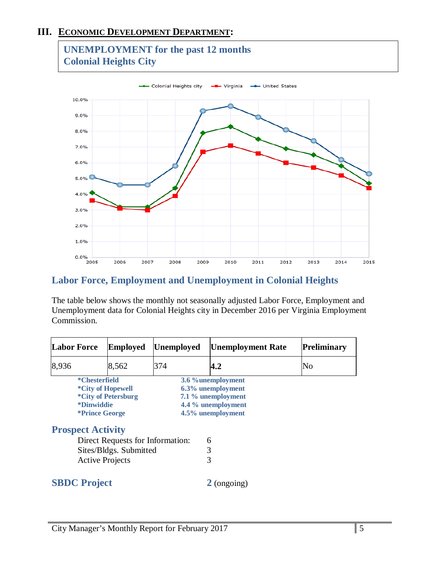# **III. ECONOMIC DEVELOPMENT DEPARTMENT:**

# **UNEMPLOYMENT for the past 12 months Colonial Heights City**



# **Labor Force, Employment and Unemployment in Colonial Heights**

The table below shows the monthly not seasonally adjusted Labor Force, Employment and Unemployment data for Colonial Heights city in December 2016 per Virginia Employment Commission.

| <b>Labor Force</b><br><b>Employed</b> |                                                                                                | <b>Unemployed</b>                | <b>Unemployment Rate</b> | <b>Preliminary</b>                                                                                       |    |
|---------------------------------------|------------------------------------------------------------------------------------------------|----------------------------------|--------------------------|----------------------------------------------------------------------------------------------------------|----|
| 8,936                                 |                                                                                                | 8,562                            | 374                      | 4.2                                                                                                      | No |
|                                       | *Chesterfield<br>*City of Hopewell<br><i><b>*Dinwiddie</b></i><br><i><b>*Prince George</b></i> | *City of Petersburg              |                          | 3.6 % unemployment<br>6.3% unemployment<br>7.1 % unemployment<br>4.4 % unemployment<br>4.5% unemployment |    |
|                                       | <b>Prospect Activity</b>                                                                       |                                  |                          |                                                                                                          |    |
|                                       |                                                                                                | Direct Requests for Information: |                          | 6                                                                                                        |    |
|                                       |                                                                                                | Sites/Bldgs. Submitted           |                          | 3                                                                                                        |    |
|                                       | <b>Active Projects</b>                                                                         |                                  |                          | 3                                                                                                        |    |
|                                       | <b>SBDC</b> Project                                                                            |                                  |                          | $2$ (ongoing)                                                                                            |    |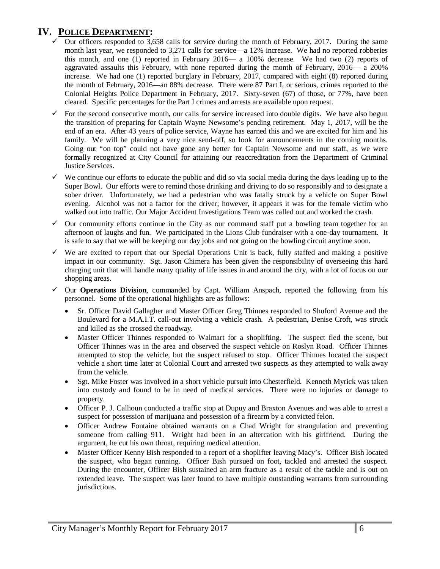# **IV. POLICE DEPARTMENT:**

- Our officers responded to 3,658 calls for service during the month of February, 2017. During the same month last year, we responded to 3,271 calls for service—a 12% increase. We had no reported robberies this month, and one (1) reported in February 2016— a 100% decrease. We had two (2) reports of aggravated assaults this February, with none reported during the month of February, 2016— a 200% increase. We had one (1) reported burglary in February, 2017, compared with eight (8) reported during the month of February, 2016—an 88% decrease. There were 87 Part I, or serious, crimes reported to the Colonial Heights Police Department in February, 2017. Sixty-seven (67) of those, or 77%, have been cleared. Specific percentages for the Part I crimes and arrests are available upon request.
- For the second consecutive month, our calls for service increased into double digits. We have also begun the transition of preparing for Captain Wayne Newsome's pending retirement. May 1, 2017, will be the end of an era. After 43 years of police service, Wayne has earned this and we are excited for him and his family. We will be planning a very nice send-off, so look for announcements in the coming months. Going out "on top" could not have gone any better for Captain Newsome and our staff, as we were formally recognized at City Council for attaining our reaccreditation from the Department of Criminal Justice Services.
- $\checkmark$  We continue our efforts to educate the public and did so via social media during the days leading up to the Super Bowl. Our efforts were to remind those drinking and driving to do so responsibly and to designate a sober driver. Unfortunately, we had a pedestrian who was fatally struck by a vehicle on Super Bowl evening. Alcohol was not a factor for the driver; however, it appears it was for the female victim who walked out into traffic. Our Major Accident Investigations Team was called out and worked the crash.
- $\checkmark$  Our community efforts continue in the City as our command staff put a bowling team together for an afternoon of laughs and fun. We participated in the Lions Club fundraiser with a one-day tournament. It is safe to say that we will be keeping our day jobs and not going on the bowling circuit anytime soon.
- $\checkmark$  We are excited to report that our Special Operations Unit is back, fully staffed and making a positive impact in our community. Sgt. Jason Chimera has been given the responsibility of overseeing this hard charging unit that will handle many quality of life issues in and around the city, with a lot of focus on our shopping areas.
- $\checkmark$  Our **Operations Division**, commanded by Capt. William Anspach, reported the following from his personnel. Some of the operational highlights are as follows:
	- Sr. Officer David Gallagher and Master Officer Greg Thinnes responded to Shuford Avenue and the Boulevard for a M.A.I.T. call-out involving a vehicle crash. A pedestrian, Denise Croft, was struck and killed as she crossed the roadway.
	- Master Officer Thinnes responded to Walmart for a shoplifting. The suspect fled the scene, but Officer Thinnes was in the area and observed the suspect vehicle on Roslyn Road. Officer Thinnes attempted to stop the vehicle, but the suspect refused to stop. Officer Thinnes located the suspect vehicle a short time later at Colonial Court and arrested two suspects as they attempted to walk away from the vehicle.
	- Sgt. Mike Foster was involved in a short vehicle pursuit into Chesterfield. Kenneth Myrick was taken into custody and found to be in need of medical services. There were no injuries or damage to property.
	- Officer P. J. Calhoun conducted a traffic stop at Dupuy and Braxton Avenues and was able to arrest a suspect for possession of marijuana and possession of a firearm by a convicted felon.
	- Officer Andrew Fontaine obtained warrants on a Chad Wright for strangulation and preventing someone from calling 911. Wright had been in an altercation with his girlfriend. During the argument, he cut his own throat, requiring medical attention.
	- Master Officer Kenny Bish responded to a report of a shoplifter leaving Macy's. Officer Bish located the suspect, who began running. Officer Bish pursued on foot, tackled and arrested the suspect. During the encounter, Officer Bish sustained an arm fracture as a result of the tackle and is out on extended leave. The suspect was later found to have multiple outstanding warrants from surrounding jurisdictions.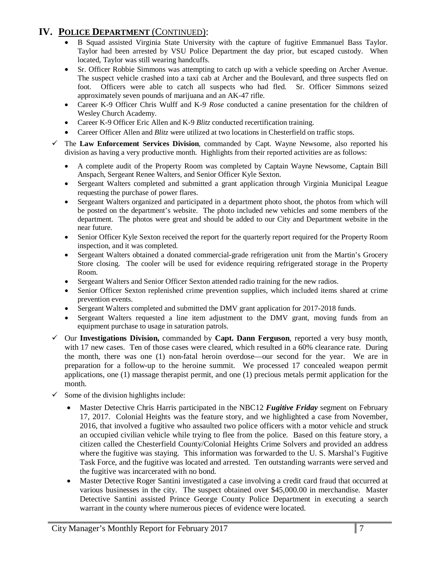# **IV. POLICE DEPARTMENT** (CONTINUED):

- B Squad assisted Virginia State University with the capture of fugitive Emmanuel Bass Taylor. Taylor had been arrested by VSU Police Department the day prior, but escaped custody. When located, Taylor was still wearing handcuffs.
- Sr. Officer Robbie Simmons was attempting to catch up with a vehicle speeding on Archer Avenue. The suspect vehicle crashed into a taxi cab at Archer and the Boulevard, and three suspects fled on foot. Officers were able to catch all suspects who had fled. Sr. Officer Simmons seized approximately seven pounds of marijuana and an AK-47 rifle.
- Career K-9 Officer Chris Wulff and K-9 *Rose* conducted a canine presentation for the children of Wesley Church Academy.
- Career K-9 Officer Eric Allen and K-9 *Blitz* conducted recertification training.
- Career Officer Allen and *Blitz* were utilized at two locations in Chesterfield on traffic stops.
- The **Law Enforcement Services Division**, commanded by Capt. Wayne Newsome, also reported his division as having a very productive month. Highlights from their reported activities are as follows:
	- A complete audit of the Property Room was completed by Captain Wayne Newsome, Captain Bill Anspach, Sergeant Renee Walters, and Senior Officer Kyle Sexton.
	- Sergeant Walters completed and submitted a grant application through Virginia Municipal League requesting the purchase of power flares.
	- Sergeant Walters organized and participated in a department photo shoot, the photos from which will be posted on the department's website. The photo included new vehicles and some members of the department. The photos were great and should be added to our City and Department website in the near future.
	- Senior Officer Kyle Sexton received the report for the quarterly report required for the Property Room inspection, and it was completed.
	- Sergeant Walters obtained a donated commercial-grade refrigeration unit from the Martin's Grocery Store closing. The cooler will be used for evidence requiring refrigerated storage in the Property Room.
	- Sergeant Walters and Senior Officer Sexton attended radio training for the new radios.
	- Senior Officer Sexton replenished crime prevention supplies, which included items shared at crime prevention events.
	- Sergeant Walters completed and submitted the DMV grant application for 2017-2018 funds.
	- Sergeant Walters requested a line item adjustment to the DMV grant, moving funds from an equipment purchase to usage in saturation patrols.
- Our **Investigations Division,** commanded by **Capt. Dann Ferguson**, reported a very busy month, with 17 new cases. Ten of those cases were cleared, which resulted in a 60% clearance rate. During the month, there was one (1) non-fatal heroin overdose—our second for the year. We are in preparation for a follow-up to the heroine summit. We processed 17 concealed weapon permit applications, one (1) massage therapist permit, and one (1) precious metals permit application for the month.
- $\checkmark$  Some of the division highlights include:
	- Master Detective Chris Harris participated in the NBC12 *Fugitive Friday* segment on February 17, 2017. Colonial Heights was the feature story, and we highlighted a case from November, 2016, that involved a fugitive who assaulted two police officers with a motor vehicle and struck an occupied civilian vehicle while trying to flee from the police. Based on this feature story, a citizen called the Chesterfield County/Colonial Heights Crime Solvers and provided an address where the fugitive was staying. This information was forwarded to the U. S. Marshal's Fugitive Task Force, and the fugitive was located and arrested. Ten outstanding warrants were served and the fugitive was incarcerated with no bond.
	- Master Detective Roger Santini investigated a case involving a credit card fraud that occurred at various businesses in the city. The suspect obtained over \$45,000.00 in merchandise. Master Detective Santini assisted Prince George County Police Department in executing a search warrant in the county where numerous pieces of evidence were located.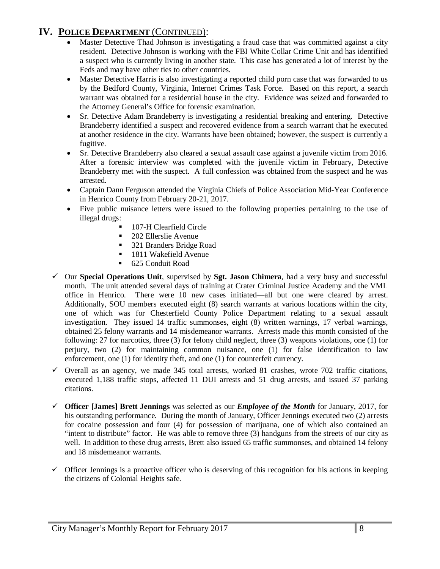# **IV. POLICE DEPARTMENT** (CONTINUED):

- Master Detective Thad Johnson is investigating a fraud case that was committed against a city resident. Detective Johnson is working with the FBI White Collar Crime Unit and has identified a suspect who is currently living in another state. This case has generated a lot of interest by the Feds and may have other ties to other countries.
- Master Detective Harris is also investigating a reported child porn case that was forwarded to us by the Bedford County, Virginia, Internet Crimes Task Force. Based on this report, a search warrant was obtained for a residential house in the city. Evidence was seized and forwarded to the Attorney General's Office for forensic examination.
- Sr. Detective Adam Brandeberry is investigating a residential breaking and entering. Detective Brandeberry identified a suspect and recovered evidence from a search warrant that he executed at another residence in the city. Warrants have been obtained; however, the suspect is currently a fugitive.
- Sr. Detective Brandeberry also cleared a sexual assault case against a juvenile victim from 2016. After a forensic interview was completed with the juvenile victim in February, Detective Brandeberry met with the suspect. A full confession was obtained from the suspect and he was arrested.
- Captain Dann Ferguson attended the Virginia Chiefs of Police Association Mid-Year Conference in Henrico County from February 20-21, 2017.
- Five public nuisance letters were issued to the following properties pertaining to the use of illegal drugs:
	- 107-H Clearfield Circle
	- **202 Ellerslie Avenue**
	- 321 Branders Bridge Road
	- 1811 Wakefield Avenue
	- 625 Conduit Road
- Our **Special Operations Unit**, supervised by **Sgt. Jason Chimera**, had a very busy and successful month. The unit attended several days of training at Crater Criminal Justice Academy and the VML office in Henrico. There were 10 new cases initiated—all but one were cleared by arrest. Additionally, SOU members executed eight (8) search warrants at various locations within the city, one of which was for Chesterfield County Police Department relating to a sexual assault investigation. They issued 14 traffic summonses, eight (8) written warnings, 17 verbal warnings, obtained 25 felony warrants and 14 misdemeanor warrants. Arrests made this month consisted of the following: 27 for narcotics, three (3) for felony child neglect, three (3) weapons violations, one (1) for perjury, two (2) for maintaining common nuisance, one (1) for false identification to law enforcement, one (1) for identity theft, and one (1) for counterfeit currency.
- $\checkmark$  Overall as an agency, we made 345 total arrests, worked 81 crashes, wrote 702 traffic citations, executed 1,188 traffic stops, affected 11 DUI arrests and 51 drug arrests, and issued 37 parking citations.
- **Officer [James] Brett Jennings** was selected as our *Employee of the Month* for January, 2017, for his outstanding performance. During the month of January, Officer Jennings executed two (2) arrests for cocaine possession and four (4) for possession of marijuana, one of which also contained an "intent to distribute" factor. He was able to remove three (3) handguns from the streets of our city as well. In addition to these drug arrests, Brett also issued 65 traffic summonses, and obtained 14 felony and 18 misdemeanor warrants.
- $\checkmark$  Officer Jennings is a proactive officer who is deserving of this recognition for his actions in keeping the citizens of Colonial Heights safe.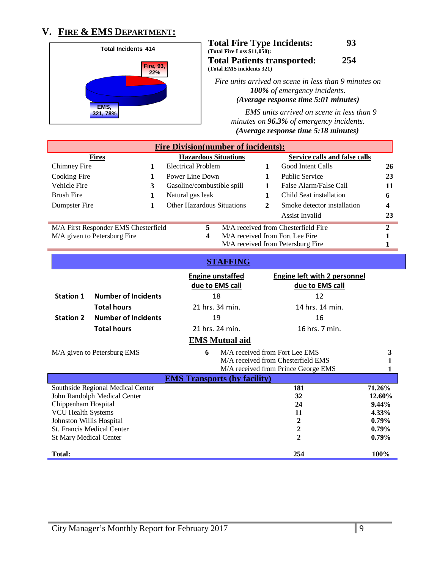# **V. FIRE & EMS DEPARTMENT:**



**Total Fire Type Incidents: 93 (Total Fire Loss \$11,050): Total Patients transported: 254 (Total EMS incidents 321)**

*Fire units arrived on scene in less than 9 minutes on 100% of emergency incidents. (Average response time 5:01 minutes)* 

*EMS units arrived on scene in less than 9 minutes on 96.3% of emergency incidents. (Average response time 5:18 minutes)*

| <b>Fire Division(number of incidents):</b>                                   |                |                                                      |                                 |                                     |              |  |
|------------------------------------------------------------------------------|----------------|------------------------------------------------------|---------------------------------|-------------------------------------|--------------|--|
| <b>Hazardous Situations</b><br>Service calls and false calls<br><b>Fires</b> |                |                                                      |                                 |                                     |              |  |
| Chimney Fire                                                                 |                | <b>Electrical Problem</b>                            |                                 | Good Intent Calls                   | 26           |  |
| Cooking Fire                                                                 |                | Power Line Down                                      | <b>Public Service</b><br>23     |                                     |              |  |
| Vehicle Fire                                                                 | 3              | False Alarm/False Call<br>Gasoline/combustible spill |                                 |                                     | 11           |  |
| <b>Brush Fire</b>                                                            |                | Natural gas leak                                     |                                 | Child Seat installation             | 6            |  |
| Dumpster Fire                                                                |                | <b>Other Hazardous Situations</b>                    | 2                               | Smoke detector installation         |              |  |
|                                                                              | Assist Invalid |                                                      |                                 | 23                                  |              |  |
| M/A First Responder EMS Chesterfield                                         |                | 5.                                                   |                                 | M/A received from Chesterfield Fire | $\mathbf{2}$ |  |
| M/A given to Petersburg Fire                                                 |                | 4                                                    | M/A received from Fort Lee Fire |                                     |              |  |
| M/A received from Petersburg Fire                                            |                |                                                      |                                 |                                     |              |  |

### **STAFFING**

|                                                                                                               |                                                                                                        |   | <b>Engine unstaffed</b><br>due to EMS call | <b>Engine left with 2 personnel</b><br>due to EMS call                                                      |                                                                           |
|---------------------------------------------------------------------------------------------------------------|--------------------------------------------------------------------------------------------------------|---|--------------------------------------------|-------------------------------------------------------------------------------------------------------------|---------------------------------------------------------------------------|
| <b>Station 1</b>                                                                                              | <b>Number of Incidents</b>                                                                             |   | 18                                         | 12                                                                                                          |                                                                           |
|                                                                                                               | <b>Total hours</b>                                                                                     |   | 21 hrs. 34 min.                            | 14 hrs. 14 min.                                                                                             |                                                                           |
| <b>Station 2</b>                                                                                              | <b>Number of Incidents</b>                                                                             |   | 19                                         | 16                                                                                                          |                                                                           |
|                                                                                                               | <b>Total hours</b>                                                                                     |   | 21 hrs. 24 min.                            | 16 hrs. 7 min.                                                                                              |                                                                           |
|                                                                                                               |                                                                                                        |   | <b>EMS Mutual aid</b>                      |                                                                                                             |                                                                           |
|                                                                                                               | M/A given to Petersburg EMS                                                                            | 6 |                                            | M/A received from Fort Lee EMS<br>M/A received from Chesterfield EMS<br>M/A received from Prince George EMS | 3                                                                         |
|                                                                                                               |                                                                                                        |   | <b>EMS Transports (by facility)</b>        |                                                                                                             |                                                                           |
| Chippenham Hospital<br><b>VCU Health Systems</b><br>Johnston Willis Hospital<br><b>St Mary Medical Center</b> | Southside Regional Medical Center<br>John Randolph Medical Center<br><b>St. Francis Medical Center</b> |   |                                            | 181<br>32<br>24<br>11<br>2<br>$\overline{2}$<br>2                                                           | 71.26%<br>12.60%<br>$9.44\%$<br>4.33%<br>$0.79\%$<br>$0.79\%$<br>$0.79\%$ |
| <b>Total:</b>                                                                                                 |                                                                                                        |   |                                            | 254                                                                                                         | 100%                                                                      |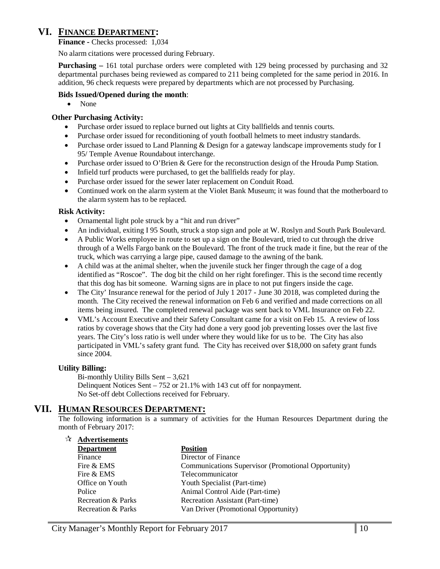## **VI. FINANCE DEPARTMENT:**

**Finance -** Checks processed: 1,034

No alarm citations were processed during February.

**Purchasing –** 161 total purchase orders were completed with 129 being processed by purchasing and 32 departmental purchases being reviewed as compared to 211 being completed for the same period in 2016. In addition, 96 check requests were prepared by departments which are not processed by Purchasing.

#### **Bids Issued/Opened during the month**:

• None

#### **Other Purchasing Activity:**

- Purchase order issued to replace burned out lights at City ballfields and tennis courts.
- Purchase order issued for reconditioning of youth football helmets to meet industry standards.
- Purchase order issued to Land Planning & Design for a gateway landscape improvements study for I 95/ Temple Avenue Roundabout interchange.
- Purchase order issued to O'Brien & Gere for the reconstruction design of the Hrouda Pump Station.
- Infield turf products were purchased, to get the ballfields ready for play.
- Purchase order issued for the sewer later replacement on Conduit Road.
- Continued work on the alarm system at the Violet Bank Museum; it was found that the motherboard to the alarm system has to be replaced.

#### **Risk Activity:**

- Ornamental light pole struck by a "hit and run driver"
- An individual, exiting I 95 South, struck a stop sign and pole at W. Roslyn and South Park Boulevard.
- A Public Works employee in route to set up a sign on the Boulevard, tried to cut through the drive through of a Wells Fargo bank on the Boulevard. The front of the truck made it fine, but the rear of the truck, which was carrying a large pipe, caused damage to the awning of the bank.
- A child was at the animal shelter, when the juvenile stuck her finger through the cage of a dog identified as "Roscoe". The dog bit the child on her right forefinger. This is the second time recently that this dog has bit someone. Warning signs are in place to not put fingers inside the cage.
- The City' Insurance renewal for the period of July 1 2017 June 30 2018, was completed during the month. The City received the renewal information on Feb 6 and verified and made corrections on all items being insured. The completed renewal package was sent back to VML Insurance on Feb 22.
- VML's Account Executive and their Safety Consultant came for a visit on Feb 15. A review of loss ratios by coverage shows that the City had done a very good job preventing losses over the last five years. The City's loss ratio is well under where they would like for us to be. The City has also participated in VML's safety grant fund. The City has received over \$18,000 on safety grant funds since 2004.

#### **Utility Billing:**

**Advertisements**

Bi-monthly Utility Bills Sent – 3,621 Delinquent Notices Sent – 752 or 21.1% with 143 cut off for nonpayment. No Set-off debt Collections received for February.

### **VII. HUMAN RESOURCES DEPARTMENT:**

The following information is a summary of activities for the Human Resources Department during the month of February 2017:

| $\mathbf{M}$ | Advertisements     |                                                     |
|--------------|--------------------|-----------------------------------------------------|
|              | <b>Department</b>  | <b>Position</b>                                     |
|              | Finance            | Director of Finance                                 |
|              | Fire & EMS         | Communications Supervisor (Promotional Opportunity) |
|              | Fire & EMS         | Telecommunicator                                    |
|              | Office on Youth    | Youth Specialist (Part-time)                        |
|              | Police             | Animal Control Aide (Part-time)                     |
|              | Recreation & Parks | Recreation Assistant (Part-time)                    |
|              | Recreation & Parks | Van Driver (Promotional Opportunity)                |
|              |                    |                                                     |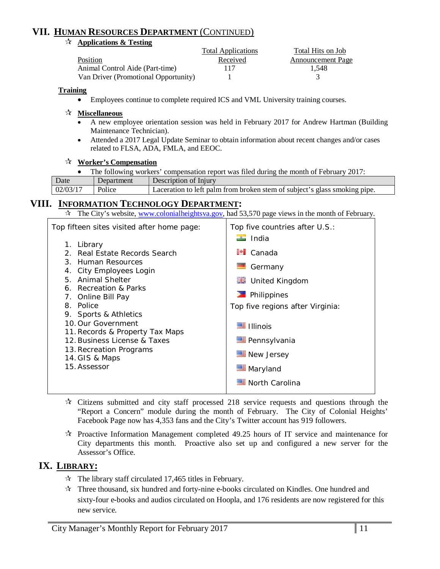# **VII. HUMAN RESOURCES DEPARTMENT** (CONTINUED)

#### **Applications & Testing**

|                                      | <b>Total Applications</b> | Total Hits on Job        |
|--------------------------------------|---------------------------|--------------------------|
| <b>Position</b>                      | Received                  | <b>Announcement Page</b> |
| Animal Control Aide (Part-time)      | 117                       | 1.548                    |
| Van Driver (Promotional Opportunity) |                           |                          |

#### **Training**

• Employees continue to complete required ICS and VML University training courses.

#### **Miscellaneous**

- A new employee orientation session was held in February 2017 for Andrew Hartman (Building Maintenance Technician).
- Attended a 2017 Legal Update Seminar to obtain information about recent changes and/or cases related to FLSA, ADA, FMLA, and EEOC.

#### **Worker's Compensation**

|  | The following workers' compensation report was filed during the month of February 2017: |  |
|--|-----------------------------------------------------------------------------------------|--|
|  |                                                                                         |  |

| $02/03/1$ <sup>-</sup><br>Laceration to left palm from broken stem of subject's glass smoking pipe.<br>Police | Date | Jenartment | Description of Injury |
|---------------------------------------------------------------------------------------------------------------|------|------------|-----------------------|
|                                                                                                               |      |            |                       |

### **VIII. INFORMATION TECHNOLOGY DEPARTMENT:**

 $\star$  The City's website, [www.colonialheightsva.gov,](http://www.colonialheightsva.gov/) had 53,570 page views in the month of February.

| Top fifteen sites visited after home page:                                                                                                                                                                                                                                                                                                                   | Top five countries after U.S.:                                                                                                                                                                                    |
|--------------------------------------------------------------------------------------------------------------------------------------------------------------------------------------------------------------------------------------------------------------------------------------------------------------------------------------------------------------|-------------------------------------------------------------------------------------------------------------------------------------------------------------------------------------------------------------------|
| 1. Library<br>2. Real Estate Records Search<br>3. Human Resources<br>4. City Employees Login<br>5. Animal Shelter<br>6. Recreation & Parks<br>7. Online Bill Pay<br>8. Police<br>9. Sports & Athletics<br>10. Our Government<br>11. Records & Property Tax Maps<br>12. Business License & Taxes<br>13. Recreation Programs<br>14. GIS & Maps<br>15. Assessor | $\blacksquare$ India<br>$\blacksquare$ Canada<br>Germany<br><b>ME</b> United Kingdom<br>Philippines<br>Top five regions after Virginia:<br>■ Illinois<br>Pennsylvania<br>New Jersey<br>Maryland<br>North Carolina |
|                                                                                                                                                                                                                                                                                                                                                              |                                                                                                                                                                                                                   |

- $\star$  Citizens submitted and city staff processed 218 service requests and questions through the "Report a Concern" module during the month of February. The City of Colonial Heights' Facebook Page now has 4,353 fans and the City's Twitter account has 919 followers.
- $\mathcal{R}$  Proactive Information Management completed 49.25 hours of IT service and maintenance for City departments this month. Proactive also set up and configured a new server for the Assessor's Office.

### **IX. LIBRARY:**

- $\approx$  The library staff circulated 17,465 titles in February.
- $\mathbf{\hat{x}}$  Three thousand, six hundred and forty-nine e-books circulated on Kindles. One hundred and sixty-four e-books and audios circulated on Hoopla, and 176 residents are now registered for this new service.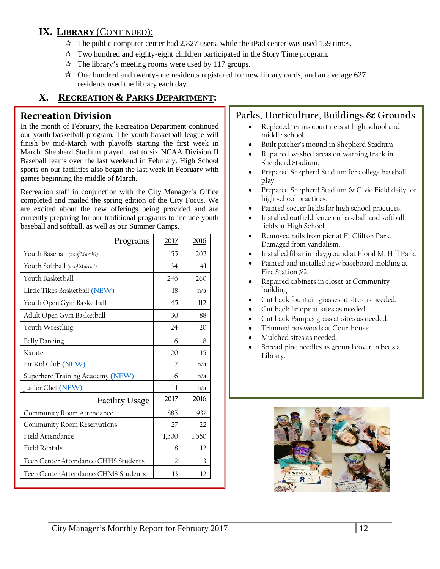# **IX. LIBRARY** (CONTINUED):

- $\approx$  The public computer center had 2,827 users, while the iPad center was used 159 times.
- $\star$  Two hundred and eighty-eight children participated in the Story Time program.
- $\hat{x}$  The library's meeting rooms were used by 117 groups.
- $\approx$  One hundred and twenty-one residents registered for new library cards, and an average 627 residents used the library each day.

# **X. RECREATION & PARKS DEPARTMENT:**

### **Recreation Division**

In the month of February, the Recreation Department continued our youth basketball program. The youth basketball league will finish by mid-March with playoffs starting the first week in March. Shepherd Stadium played host to six NCAA Division II Baseball teams over the last weekend in February. High School sports on our facilities also began the last week in February with games beginning the middle of March.

Recreation staff in conjunction with the City Manager's Office completed and mailed the spring edition of the City Focus. We are excited about the new offerings being provided and are currently preparing for our traditional programs to include youth baseball and softball, as well as our Summer Camps.

| Programs                             | 2017           | 2016  |
|--------------------------------------|----------------|-------|
| Youth Baseball (as of March1)        | 155            | 202   |
| Youth Softball (as of March1)        | 34             | 41    |
| Youth Basketball                     | 246            | 260   |
| Little Tikes Basketball (NEW)        | 18             | n/a   |
| Youth Open Gym Basketball            | 45             | 112   |
| Adult Open Gym Basketball            | 30             | 88    |
| Youth Wrestling                      | 24             | 20    |
| <b>Belly Dancing</b>                 | 6              | 8     |
| Karate                               | 20             | 15    |
| Fit Kid Club (NEW)                   | 7              | n/a   |
| Superhero Training Academy (NEW)     | 6              | n/a   |
| Junior Chef (NEW)                    | 14             | n/a   |
| <b>Facility Usage</b>                | 2017           | 2016  |
| Community Room Attendance            | 885            | 937   |
| Community Room Reservations          | 27             | 22    |
| Field Attendance                     | 1,500          | 1,560 |
| Field Rentals                        | 8              | 12    |
| Teen Center Attendance-CHHS Students | $\overline{2}$ | 3     |
| Teen Center Attendance-CHMS Students | 13             | 12    |

# **Parks, Horticulture, Buildings & Grounds**

- Replaced tennis court nets at high school and middle school.
- Built pitcher's mound in Shepherd Stadium.
- Repaired washed areas on warning track in Shepherd Stadium.
- Prepared Shepherd Stadium for college baseball play.
- Prepared Shepherd Stadium & Civic Field daily for high school practices.
- Painted soccer fields for high school practices.
- Installed outfield fence on baseball and softball fields at High School.
- Removed rails from pier at Ft Clifton Park. Damaged from vandalism.
- Installed fibar in playground at Floral M. Hill Park.
- Painted and installed new baseboard molding at Fire Station #2.
- Repaired cabinets in closet at Community building.
- Cut back fountain grasses at sites as needed.
- Cut back liriope at sites as needed.
- Cut back Pampas grass at sites as needed.
- Trimmed boxwoods at Courthouse.
- Mulched sites as needed.
- Spread pine needles as ground cover in beds at Library.

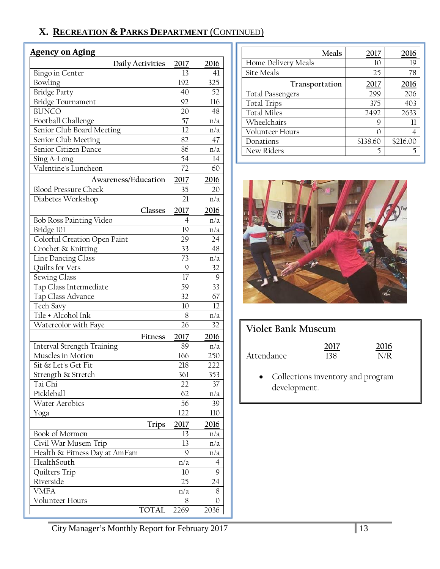# **X. RECREATION & PARKS DEPARTMENT** (CONTINUED)

### **Agency on Aging**

| Daily Activities                            | 2017 | 2016      |
|---------------------------------------------|------|-----------|
| Bingo in Center                             | 13   | 41        |
| Bowling                                     | 192  | 325       |
| <b>Bridge Party</b>                         | 40   | 52        |
| Bridge Tournament                           | 92   | 116       |
| <b>BUNCO</b>                                | 20   | 48        |
| Football Challenge                          | 57   | n/a       |
|                                             | 12   |           |
| Senior Club Board Meeting                   | 82   | n/a       |
| Senior Club Meeting<br>Senior Citizen Dance | 86   | 47        |
|                                             | 54   | n/a<br>14 |
| Sing A-Long<br>Valentine's Luncheon         |      | 60        |
|                                             | 72   |           |
| Awareness/Education                         | 2017 | 2016      |
| <b>Blood Pressure Check</b>                 | 35   | 20        |
| Diabetes Workshop                           | 21   | n/a       |
| Classes                                     | 2017 | 2016      |
| <b>Bob Ross Painting Video</b>              | 4    | n/a       |
| Bridge 101                                  | 19   | n/a       |
| Colorful Creation Open Paint                | 29   | 24        |
| Crochet & Knitting                          | 33   | 48        |
| Line Dancing Class                          | 73   | n/a       |
| Quilts for Vets                             | 9    | 32        |
| Sewing Class                                | 17   | 9         |
| Tap Class Intermediate                      | 59   | 33        |
| Tap Class Advance                           | 32   | 67        |
| Tech Savy                                   | 10   | 12        |
| Tile + Alcohol Ink                          | 8    | n/a       |
| Watercolor with Faye                        | 26   | 32        |
| <b>Fitness</b>                              | 2017 | 2016      |
| Interval Strength Training                  | 89   | n/a       |
| Muscles in Motion                           | 166  | 250       |
| Sit & Let's Get Fit                         | 218  | 222       |
| Strength & Stretch                          | 361  | 353       |
| Tai Chi                                     | 22   | 37        |
| Pickleball                                  | 62   | n/a       |
| <b>Water Aerobics</b>                       | 56   | 39        |
|                                             | 122  |           |
| Yoga                                        |      | 110       |
| <b>Trips</b>                                | 2017 | 2016      |
| Book of Mormon                              | 13   | n/a       |
| Civil War Musem Trip                        | 13   | n/a       |
| Health & Fitness Day at AmFam               | 9    | n/a       |
| HealthSouth                                 | n/a  | 4         |
| Quilters Trip                               | 10   | 9         |
| Riverside                                   | 25   | 24        |
| <b>VMFA</b>                                 | n/a  | 8         |
| Volunteer Hours                             | 8    | 0         |
| <b>TOTAL</b>                                | 2269 | 2036      |

| Meals                   | 2017     | 2016     |
|-------------------------|----------|----------|
| Home Delivery Meals     | 10       | 19       |
| Site Meals              | 25       | 78       |
| Transportation          | 2017     | 2016     |
| <b>Total Passengers</b> | 299      | 206      |
| <b>Total Trips</b>      | 375      | 403      |
| <b>Total Miles</b>      | 2492     | 2633     |
| Wheelchairs             | 9        | Н        |
| Volunteer Hours         |          |          |
| Donations               | \$138.60 | \$216.00 |
| New Riders              | 5        |          |



# **Violet Bank Museum**

|            | 2017 | 2016 |
|------------|------|------|
| Attendance | 138  | N/R  |

• Collections inventory and program development.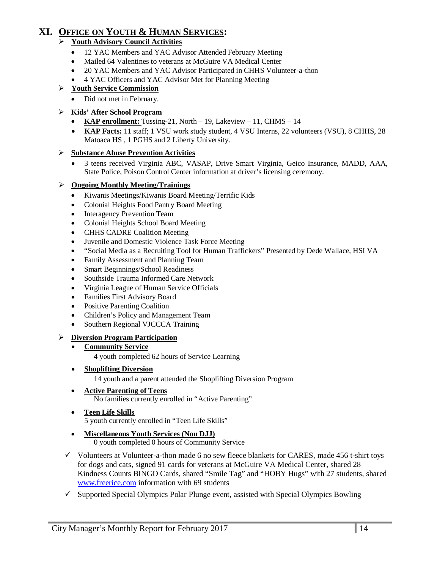# **XI. OFFICE ON YOUTH & HUMAN SERVICES:**

### **Youth Advisory Council Activities**

- 12 YAC Members and YAC Advisor Attended February Meeting
- Mailed 64 Valentines to veterans at McGuire VA Medical Center
- 20 YAC Members and YAC Advisor Participated in CHHS Volunteer-a-thon
- 4 YAC Officers and YAC Advisor Met for Planning Meeting

#### **Youth Service Commission**

• Did not met in February.

#### **Kids' After School Program**

- **KAP enrollment:** Tussing-21, North 19, Lakeview 11, CHMS 14
- **KAP Facts:** 11 staff; 1 VSU work study student, 4 VSU Interns, 22 volunteers (VSU), 8 CHHS, 28 Matoaca HS , 1 PGHS and 2 Liberty University.

#### **Substance Abuse Prevention Activities**

• 3 teens received Virginia ABC, VASAP, Drive Smart Virginia, Geico Insurance, MADD, AAA, State Police, Poison Control Center information at driver's licensing ceremony.

#### **Ongoing Monthly Meeting/Trainings**

- Kiwanis Meetings/Kiwanis Board Meeting/Terrific Kids
- Colonial Heights Food Pantry Board Meeting
- **Interagency Prevention Team**
- Colonial Heights School Board Meeting
- CHHS CADRE Coalition Meeting
- Juvenile and Domestic Violence Task Force Meeting
- "Social Media as a Recruiting Tool for Human Traffickers" Presented by Dede Wallace, HSI VA
- Family Assessment and Planning Team
- Smart Beginnings/School Readiness
- Southside Trauma Informed Care Network
- Virginia League of Human Service Officials
- Families First Advisory Board
- Positive Parenting Coalition
- Children's Policy and Management Team
- Southern Regional VJCCCA Training

#### **Diversion Program Participation**

• **Community Service**

4 youth completed 62 hours of Service Learning

- **Shoplifting Diversion**
	- 14 youth and a parent attended the Shoplifting Diversion Program
- **Active Parenting of Teens** No families currently enrolled in "Active Parenting"
- **Teen Life Skills** 5 youth currently enrolled in "Teen Life Skills"
- **Miscellaneous Youth Services (Non DJJ)** 0 youth completed 0 hours of Community Service
- $\checkmark$  Volunteers at Volunteer-a-thon made 6 no sew fleece blankets for CARES, made 456 t-shirt toys for dogs and cats, signed 91 cards for veterans at McGuire VA Medical Center, shared 28 Kindness Counts BINGO Cards, shared "Smile Tag" and "HOBY Hugs" with 27 students, shared [www.freerice.com](http://www.freerice.com/) information with 69 students
- $\checkmark$  Supported Special Olympics Polar Plunge event, assisted with Special Olympics Bowling